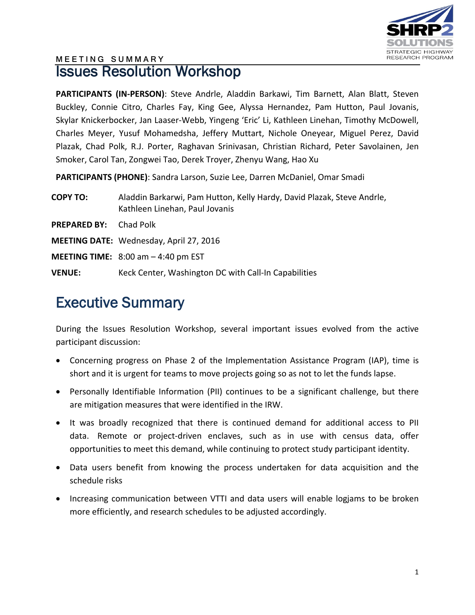

### **MEETING SUMMARY** Issues Resolution Workshop

PARTICIPANTS (IN-PERSON): Steve Andrle, Aladdin Barkawi, Tim Barnett, Alan Blatt, Steven Buckley, Connie Citro, Charles Fay, King Gee, Alyssa Hernandez, Pam Hutton, Paul Jovanis, Skylar Knickerbocker, Jan Laaser-Webb, Yingeng 'Eric' Li, Kathleen Linehan, Timothy McDowell, Charles Meyer, Yusuf Mohamedsha, Jeffery Muttart, Nichole Oneyear, Miguel Perez, David Plazak, Chad Polk, R.J. Porter, Raghavan Srinivasan, Christian Richard, Peter Savolainen, Jen Smoker, Carol Tan, Zongwei Tao, Derek Troyer, Zhenyu Wang, Hao Xu

**PARTICIPANTS (PHONE)**: Sandra Larson, Suzie Lee, Darren McDaniel, Omar Smadi

| <b>COPY TO:</b>     | Aladdin Barkarwi, Pam Hutton, Kelly Hardy, David Plazak, Steve Andrle,<br>Kathleen Linehan, Paul Jovanis |
|---------------------|----------------------------------------------------------------------------------------------------------|
| <b>PREPARED BY:</b> | Chad Polk                                                                                                |
|                     | <b>MEETING DATE:</b> Wednesday, April 27, 2016                                                           |
|                     | <b>MEETING TIME:</b> $8:00$ am $-4:40$ pm EST                                                            |
| <b>VENUE:</b>       | Keck Center, Washington DC with Call-In Capabilities                                                     |

# Executive Summary

During the Issues Resolution Workshop, several important issues evolved from the active participant discussion:

- Concerning progress on Phase 2 of the Implementation Assistance Program (IAP), time is short and it is urgent for teams to move projects going so as not to let the funds lapse.
- Personally Identifiable Information (PII) continues to be a significant challenge, but there are mitigation measures that were identified in the IRW.
- It was broadly recognized that there is continued demand for additional access to PII data. Remote or project-driven enclaves, such as in use with census data, offer opportunities to meet this demand, while continuing to protect study participant identity.
- Data users benefit from knowing the process undertaken for data acquisition and the schedule risks
- Increasing communication between VTTI and data users will enable logjams to be broken more efficiently, and research schedules to be adjusted accordingly.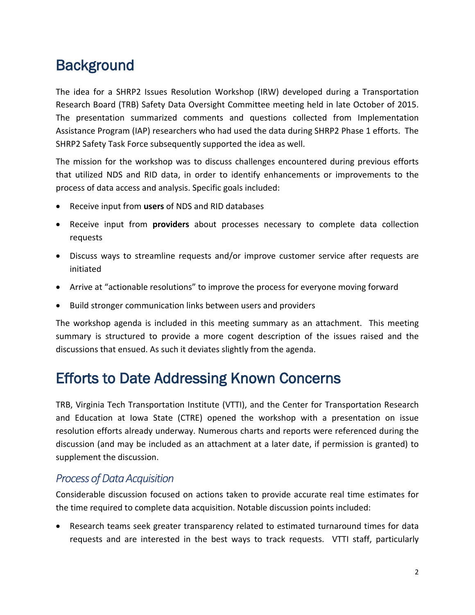# **Background**

The idea for a SHRP2 Issues Resolution Workshop (IRW) developed during a Transportation Research Board (TRB) Safety Data Oversight Committee meeting held in late October of 2015. The presentation summarized comments and questions collected from Implementation Assistance Program (IAP) researchers who had used the data during SHRP2 Phase 1 efforts. The SHRP2 Safety Task Force subsequently supported the idea as well.

The mission for the workshop was to discuss challenges encountered during previous efforts that utilized NDS and RID data, in order to identify enhancements or improvements to the process of data access and analysis. Specific goals included:

- Receive input from **users** of NDS and RID databases
- Receive input from **providers** about processes necessary to complete data collection requests
- Discuss ways to streamline requests and/or improve customer service after requests are initiated
- Arrive at "actionable resolutions" to improve the process for everyone moving forward
- Build stronger communication links between users and providers

The workshop agenda is included in this meeting summary as an attachment. This meeting summary is structured to provide a more cogent description of the issues raised and the discussions that ensued. As such it deviates slightly from the agenda.

# Efforts to Date Addressing Known Concerns

TRB, Virginia Tech Transportation Institute (VTTI), and the Center for Transportation Research and Education at Iowa State (CTRE) opened the workshop with a presentation on issue resolution efforts already underway. Numerous charts and reports were referenced during the discussion (and may be included as an attachment at a later date, if permission is granted) to supplement the discussion.

### *Process of Data Acquisition*

Considerable discussion focused on actions taken to provide accurate real time estimates for the time required to complete data acquisition. Notable discussion points included:

• Research teams seek greater transparency related to estimated turnaround times for data requests and are interested in the best ways to track requests. VTTI staff, particularly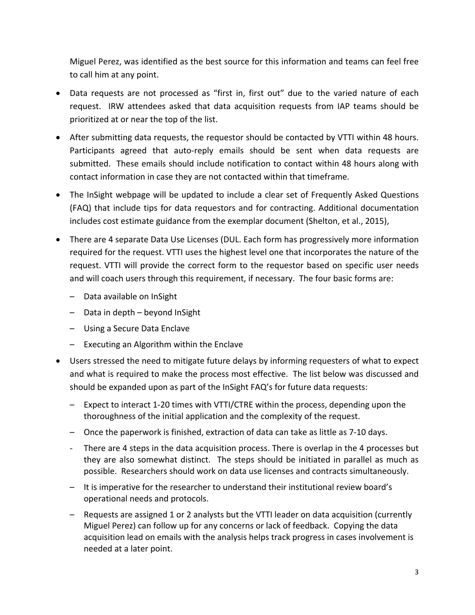Miguel Perez, was identified as the best source for this information and teams can feel free to call him at any point.

- Data requests are not processed as "first in, first out" due to the varied nature of each request. IRW attendees asked that data acquisition requests from IAP teams should be prioritized at or near the top of the list.
- After submitting data requests, the requestor should be contacted by VTTI within 48 hours. Participants agreed that auto-reply emails should be sent when data requests are submitted. These emails should include notification to contact within 48 hours along with contact information in case they are not contacted within that timeframe.
- The InSight webpage will be updated to include a clear set of Frequently Asked Questions (FAQ) that include tips for data requestors and for contracting. Additional documentation includes cost estimate guidance from the exemplar document (Shelton, et al., 2015),
- There are 4 separate Data Use Licenses (DUL. Each form has progressively more information required for the request. VTTI uses the highest level one that incorporates the nature of the request. VTTI will provide the correct form to the requestor based on specific user needs and will coach users through this requirement, if necessary. The four basic forms are:
	- Data available on InSight
	- Data in depth beyond InSight
	- Using a Secure Data Enclave
	- Executing an Algorithm within the Enclave
- Users stressed the need to mitigate future delays by informing requesters of what to expect and what is required to make the process most effective. The list below was discussed and should be expanded upon as part of the InSight FAQ's for future data requests:
	- Expect to interact 1-20 times with VTTI/CTRE within the process, depending upon the thoroughness of the initial application and the complexity of the request.
	- Once the paperwork is finished, extraction of data can take as little as 7-10 days.
	- There are 4 steps in the data acquisition process. There is overlap in the 4 processes but they are also somewhat distinct. The steps should be initiated in parallel as much as possible. Researchers should work on data use licenses and contracts simultaneously.
	- It is imperative for the researcher to understand their institutional review board's operational needs and protocols.
	- Requests are assigned 1 or 2 analysts but the VTTI leader on data acquisition (currently Miguel Perez) can follow up for any concerns or lack of feedback. Copying the data acquisition lead on emails with the analysis helps track progress in cases involvement is needed at a later point.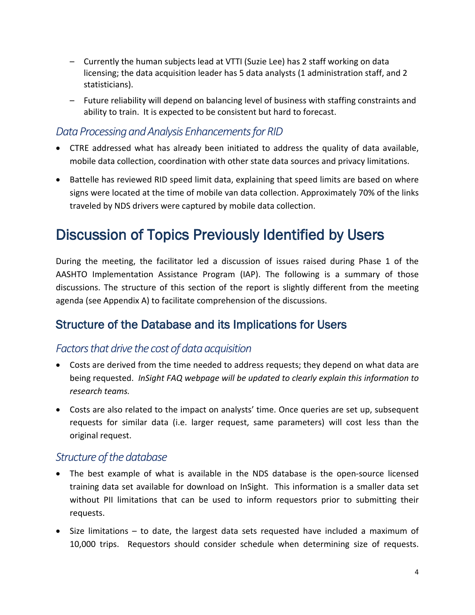- Currently the human subjects lead at VTTI (Suzie Lee) has 2 staff working on data licensing; the data acquisition leader has 5 data analysts (1 administration staff, and 2 statisticians).
- Future reliability will depend on balancing level of business with staffing constraints and ability to train. It is expected to be consistent but hard to forecast.

### *Data Processing and Analysis Enhancements for RID*

- CTRE addressed what has already been initiated to address the quality of data available, mobile data collection, coordination with other state data sources and privacy limitations.
- Battelle has reviewed RID speed limit data, explaining that speed limits are based on where signs were located at the time of mobile van data collection. Approximately 70% of the links traveled by NDS drivers were captured by mobile data collection.

# Discussion of Topics Previously Identified by Users

During the meeting, the facilitator led a discussion of issues raised during Phase 1 of the AASHTO Implementation Assistance Program (IAP). The following is a summary of those discussions. The structure of this section of the report is slightly different from the meeting agenda (see Appendix A) to facilitate comprehension of the discussions.

### Structure of the Database and its Implications for Users

### *Factorsthat drive the cost of data acquisition*

- Costs are derived from the time needed to address requests; they depend on what data are being requested. *InSight FAQ webpage will be updated to clearly explain this information to research teams.*
- Costs are also related to the impact on analysts' time. Once queries are set up, subsequent requests for similar data (i.e. larger request, same parameters) will cost less than the original request.

#### *Structure of the database*

- The best example of what is available in the NDS database is the open-source licensed training data set available for download on InSight. This information is a smaller data set without PII limitations that can be used to inform requestors prior to submitting their requests.
- Size limitations to date, the largest data sets requested have included a maximum of 10,000 trips. Requestors should consider schedule when determining size of requests.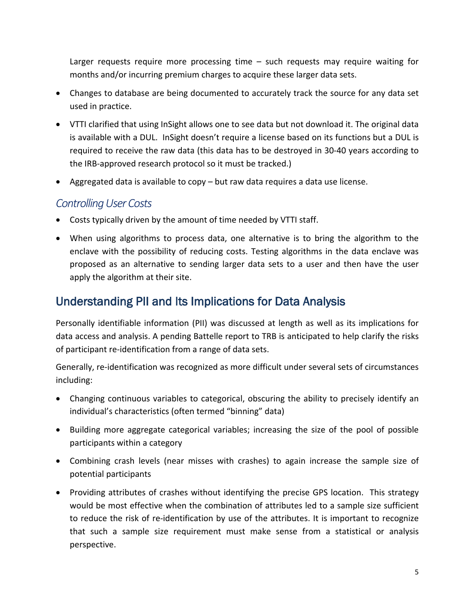Larger requests require more processing time – such requests may require waiting for months and/or incurring premium charges to acquire these larger data sets.

- Changes to database are being documented to accurately track the source for any data set used in practice.
- VTTI clarified that using InSight allows one to see data but not download it. The original data is available with a DUL. InSight doesn't require a license based on its functions but a DUL is required to receive the raw data (this data has to be destroyed in 30-40 years according to the IRB-approved research protocol so it must be tracked.)
- Aggregated data is available to copy but raw data requires a data use license.

#### *Controlling User Costs*

- Costs typically driven by the amount of time needed by VTTI staff.
- When using algorithms to process data, one alternative is to bring the algorithm to the enclave with the possibility of reducing costs. Testing algorithms in the data enclave was proposed as an alternative to sending larger data sets to a user and then have the user apply the algorithm at their site.

### Understanding PII and Its Implications for Data Analysis

Personally identifiable information (PII) was discussed at length as well as its implications for data access and analysis. A pending Battelle report to TRB is anticipated to help clarify the risks of participant re-identification from a range of data sets.

Generally, re-identification was recognized as more difficult under several sets of circumstances including:

- Changing continuous variables to categorical, obscuring the ability to precisely identify an individual's characteristics (often termed "binning" data)
- Building more aggregate categorical variables; increasing the size of the pool of possible participants within a category
- Combining crash levels (near misses with crashes) to again increase the sample size of potential participants
- Providing attributes of crashes without identifying the precise GPS location. This strategy would be most effective when the combination of attributes led to a sample size sufficient to reduce the risk of re-identification by use of the attributes. It is important to recognize that such a sample size requirement must make sense from a statistical or analysis perspective.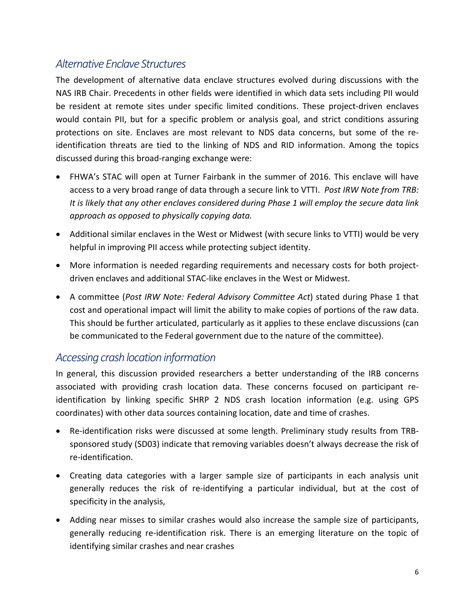### *Alternative Enclave Structures*

The development of alternative data enclave structures evolved during discussions with the NAS IRB Chair. Precedents in other fields were identified in which data sets including PII would be resident at remote sites under specific limited conditions. These project-driven enclaves would contain PII, but for a specific problem or analysis goal, and strict conditions assuring protections on site. Enclaves are most relevant to NDS data concerns, but some of the reidentification threats are tied to the linking of NDS and RID information. Among the topics discussed during this broad-ranging exchange were:

- FHWA's STAC will open at Turner Fairbank in the summer of 2016. This enclave will have access to a very broad range of data through a secure link to VTTI. *Post IRW Note from TRB: It is likely that any other enclaves considered during Phase 1 will employ the secure data link approach as opposed to physically copying data.*
- Additional similar enclaves in the West or Midwest (with secure links to VTTI) would be very helpful in improving PII access while protecting subject identity.
- More information is needed regarding requirements and necessary costs for both projectdriven enclaves and additional STAC-like enclaves in the West or Midwest.
- A committee (*Post IRW Note: Federal Advisory Committee Act*) stated during Phase 1 that cost and operational impact will limit the ability to make copies of portions of the raw data. This should be further articulated, particularly as it applies to these enclave discussions (can be communicated to the Federal government due to the nature of the committee).

#### *Accessing crash location information*

In general, this discussion provided researchers a better understanding of the IRB concerns associated with providing crash location data. These concerns focused on participant reidentification by linking specific SHRP 2 NDS crash location information (e.g. using GPS coordinates) with other data sources containing location, date and time of crashes.

- Re-identification risks were discussed at some length. Preliminary study results from TRBsponsored study (SD03) indicate that removing variables doesn't always decrease the risk of re-identification.
- Creating data categories with a larger sample size of participants in each analysis unit generally reduces the risk of re-identifying a particular individual, but at the cost of specificity in the analysis,
- Adding near misses to similar crashes would also increase the sample size of participants, generally reducing re-identification risk. There is an emerging literature on the topic of identifying similar crashes and near crashes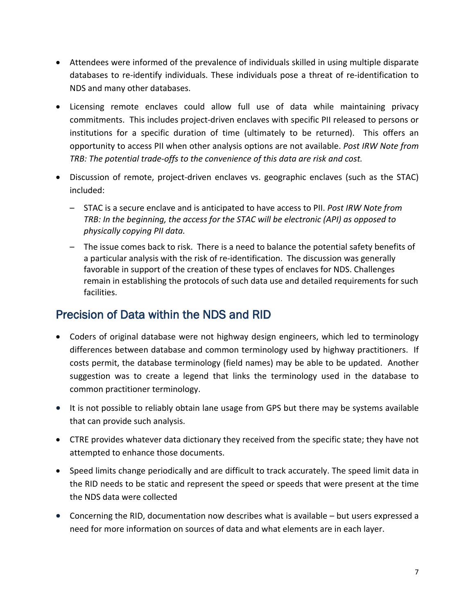- Attendees were informed of the prevalence of individuals skilled in using multiple disparate databases to re-identify individuals. These individuals pose a threat of re-identification to NDS and many other databases.
- Licensing remote enclaves could allow full use of data while maintaining privacy commitments. This includes project-driven enclaves with specific PII released to persons or institutions for a specific duration of time (ultimately to be returned). This offers an opportunity to access PII when other analysis options are not available. *Post IRW Note from TRB: The potential trade-offs to the convenience of this data are risk and cost.*
- Discussion of remote, project-driven enclaves vs. geographic enclaves (such as the STAC) included:
	- STAC is a secure enclave and is anticipated to have access to PII. *Post IRW Note from TRB: In the beginning, the access for the STAC will be electronic (API) as opposed to physically copying PII data.*
	- The issue comes back to risk. There is a need to balance the potential safety benefits of a particular analysis with the risk of re-identification. The discussion was generally favorable in support of the creation of these types of enclaves for NDS. Challenges remain in establishing the protocols of such data use and detailed requirements for such facilities.

### Precision of Data within the NDS and RID

- Coders of original database were not highway design engineers, which led to terminology differences between database and common terminology used by highway practitioners. If costs permit, the database terminology (field names) may be able to be updated. Another suggestion was to create a legend that links the terminology used in the database to common practitioner terminology.
- It is not possible to reliably obtain lane usage from GPS but there may be systems available that can provide such analysis.
- CTRE provides whatever data dictionary they received from the specific state; they have not attempted to enhance those documents.
- Speed limits change periodically and are difficult to track accurately. The speed limit data in the RID needs to be static and represent the speed or speeds that were present at the time the NDS data were collected
- Concerning the RID, documentation now describes what is available but users expressed a need for more information on sources of data and what elements are in each layer.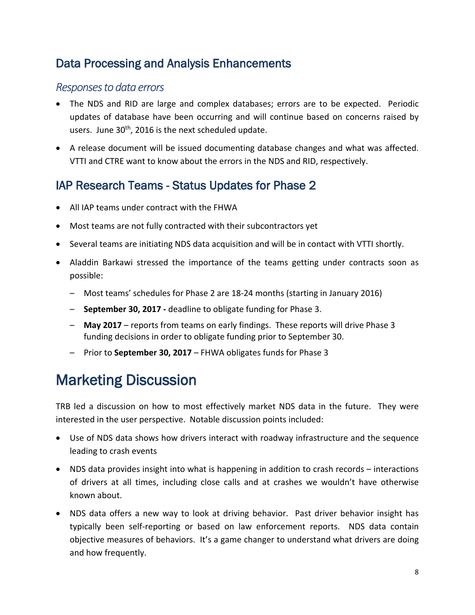### Data Processing and Analysis Enhancements

### *Responses to data errors*

- The NDS and RID are large and complex databases; errors are to be expected. Periodic updates of database have been occurring and will continue based on concerns raised by users. June  $30<sup>th</sup>$ , 2016 is the next scheduled update.
- A release document will be issued documenting database changes and what was affected. VTTI and CTRE want to know about the errors in the NDS and RID, respectively.

### IAP Research Teams - Status Updates for Phase 2

- All IAP teams under contract with the FHWA
- Most teams are not fully contracted with their subcontractors yet
- Several teams are initiating NDS data acquisition and will be in contact with VTTI shortly.
- Aladdin Barkawi stressed the importance of the teams getting under contracts soon as possible:
	- Most teams' schedules for Phase 2 are 18-24 months (starting in January 2016)
	- **September 30, 2017 -** deadline to obligate funding for Phase 3.
	- **May 2017**  reports from teams on early findings. These reports will drive Phase 3 funding decisions in order to obligate funding prior to September 30.
	- Prior to **September 30, 2017**  FHWA obligates funds for Phase 3

# Marketing Discussion

TRB led a discussion on how to most effectively market NDS data in the future. They were interested in the user perspective. Notable discussion points included:

- Use of NDS data shows how drivers interact with roadway infrastructure and the sequence leading to crash events
- NDS data provides insight into what is happening in addition to crash records interactions of drivers at all times, including close calls and at crashes we wouldn't have otherwise known about.
- NDS data offers a new way to look at driving behavior. Past driver behavior insight has typically been self-reporting or based on law enforcement reports. NDS data contain objective measures of behaviors. It's a game changer to understand what drivers are doing and how frequently.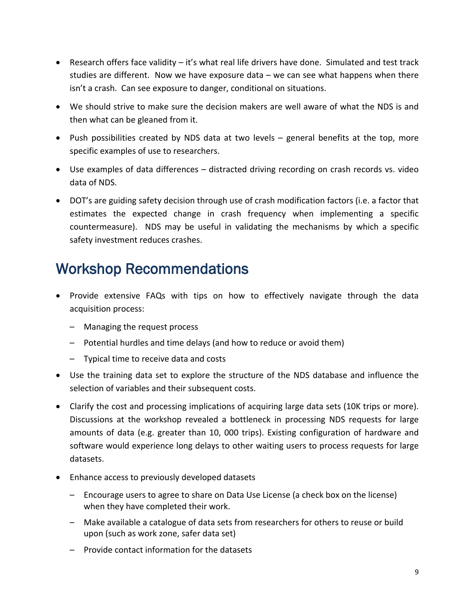- Research offers face validity it's what real life drivers have done. Simulated and test track studies are different. Now we have exposure data – we can see what happens when there isn't a crash. Can see exposure to danger, conditional on situations.
- We should strive to make sure the decision makers are well aware of what the NDS is and then what can be gleaned from it.
- Push possibilities created by NDS data at two levels general benefits at the top, more specific examples of use to researchers.
- Use examples of data differences distracted driving recording on crash records vs. video data of NDS.
- DOT's are guiding safety decision through use of crash modification factors (i.e. a factor that estimates the expected change in crash frequency when implementing a specific countermeasure). NDS may be useful in validating the mechanisms by which a specific safety investment reduces crashes.

# Workshop Recommendations

- Provide extensive FAQs with tips on how to effectively navigate through the data acquisition process:
	- Managing the request process
	- Potential hurdles and time delays (and how to reduce or avoid them)
	- Typical time to receive data and costs
- Use the training data set to explore the structure of the NDS database and influence the selection of variables and their subsequent costs.
- Clarify the cost and processing implications of acquiring large data sets (10K trips or more). Discussions at the workshop revealed a bottleneck in processing NDS requests for large amounts of data (e.g. greater than 10, 000 trips). Existing configuration of hardware and software would experience long delays to other waiting users to process requests for large datasets.
- Enhance access to previously developed datasets
	- Encourage users to agree to share on Data Use License (a check box on the license) when they have completed their work.
	- Make available a catalogue of data sets from researchers for others to reuse or build upon (such as work zone, safer data set)
	- Provide contact information for the datasets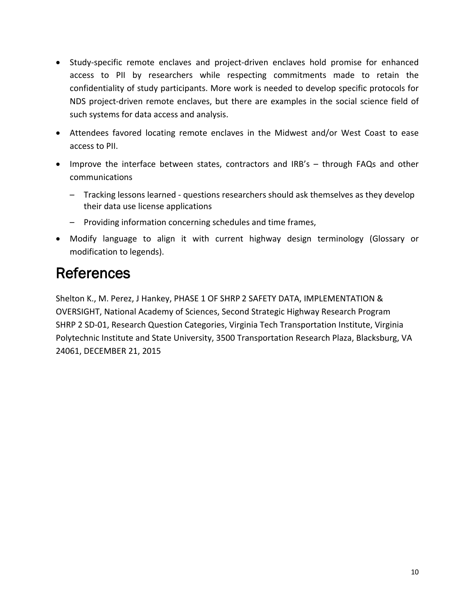- Study-specific remote enclaves and project-driven enclaves hold promise for enhanced access to PII by researchers while respecting commitments made to retain the confidentiality of study participants. More work is needed to develop specific protocols for NDS project-driven remote enclaves, but there are examples in the social science field of such systems for data access and analysis.
- Attendees favored locating remote enclaves in the Midwest and/or West Coast to ease access to PII.
- Improve the interface between states, contractors and IRB's through FAQs and other communications
	- Tracking lessons learned questions researchers should ask themselves as they develop their data use license applications
	- Providing information concerning schedules and time frames,
- Modify language to align it with current highway design terminology (Glossary or modification to legends).

# References

Shelton K., M. Perez, J Hankey, PHASE 1 OF SHRP 2 SAFETY DATA, IMPLEMENTATION & OVERSIGHT, National Academy of Sciences, Second Strategic Highway Research Program SHRP 2 SD-01, Research Question Categories, Virginia Tech Transportation Institute, Virginia Polytechnic Institute and State University, 3500 Transportation Research Plaza, Blacksburg, VA 24061, DECEMBER 21, 2015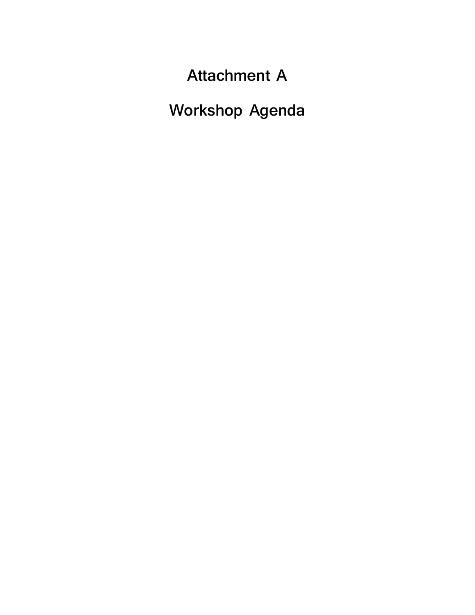**Attachment A**

**Workshop Agenda**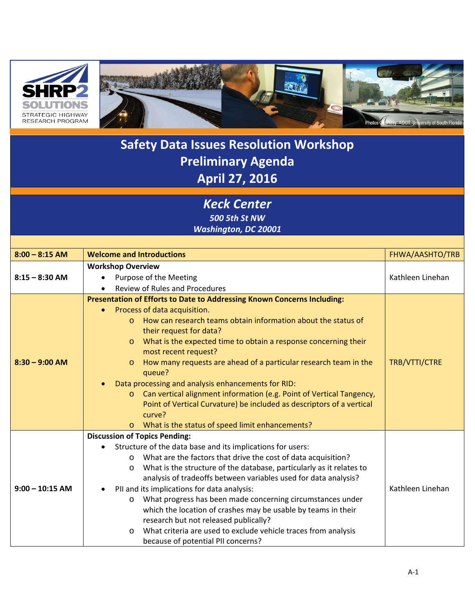



### **Safety Data Issues Resolution Workshop Preliminary Agenda April 27, 2016**

*Keck Center 500 5th St NW*

*Washington, DC 20001*

| $8:00 - 8:15$ AM  | <b>Welcome and Introductions</b>                                                                                                                                                                                                                                                                                                                                                                                                                                                                                                                                                                                                                                                                                      | FHWA/AASHTO/TRB  |  |  |
|-------------------|-----------------------------------------------------------------------------------------------------------------------------------------------------------------------------------------------------------------------------------------------------------------------------------------------------------------------------------------------------------------------------------------------------------------------------------------------------------------------------------------------------------------------------------------------------------------------------------------------------------------------------------------------------------------------------------------------------------------------|------------------|--|--|
|                   | <b>Workshop Overview</b>                                                                                                                                                                                                                                                                                                                                                                                                                                                                                                                                                                                                                                                                                              |                  |  |  |
| $8:15 - 8:30$ AM  | Purpose of the Meeting                                                                                                                                                                                                                                                                                                                                                                                                                                                                                                                                                                                                                                                                                                | Kathleen Linehan |  |  |
|                   | <b>Review of Rules and Procedures</b>                                                                                                                                                                                                                                                                                                                                                                                                                                                                                                                                                                                                                                                                                 |                  |  |  |
| $8:30 - 9:00$ AM  | Presentation of Efforts to Date to Addressing Known Concerns Including:<br>Process of data acquisition.<br>$\bullet$<br>How can research teams obtain information about the status of<br>$\Omega$<br>their request for data?<br>What is the expected time to obtain a response concerning their<br>$\circ$<br>most recent request?<br>How many requests are ahead of a particular research team in the<br>$\circ$<br>queue?<br>Data processing and analysis enhancements for RID:<br>Can vertical alignment information (e.g. Point of Vertical Tangency,<br>$\circ$<br>Point of Vertical Curvature) be included as descriptors of a vertical<br>curve?<br>What is the status of speed limit enhancements?<br>$\circ$ | TRB/VTTI/CTRE    |  |  |
|                   | <b>Discussion of Topics Pending:</b><br>Structure of the data base and its implications for users:<br>What are the factors that drive the cost of data acquisition?<br>$\circ$                                                                                                                                                                                                                                                                                                                                                                                                                                                                                                                                        |                  |  |  |
| $9:00 - 10:15$ AM | What is the structure of the database, particularly as it relates to<br>O<br>analysis of tradeoffs between variables used for data analysis?<br>PII and its implications for data analysis:<br>$\bullet$<br>What progress has been made concerning circumstances under<br>$\circ$<br>which the location of crashes may be usable by teams in their<br>research but not released publically?<br>What criteria are used to exclude vehicle traces from analysis<br>$\circ$<br>because of potential PII concerns?                                                                                                                                                                                                        | Kathleen Linehan |  |  |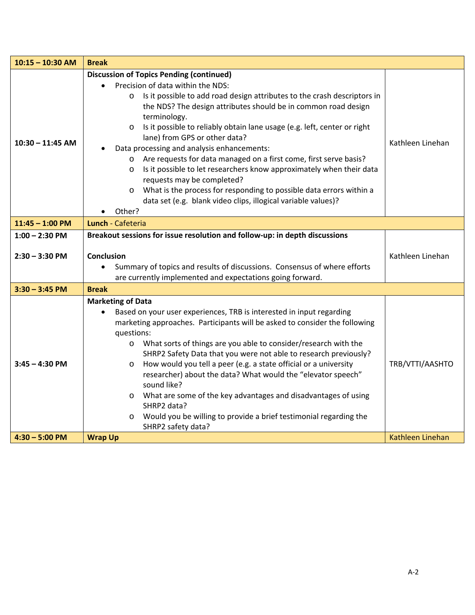| $10:15 - 10:30$ AM                   | <b>Break</b>                                                                                                                                                                                                                                                                                                                                                                                                                                                                                                                                                                                                                                                                                                                                                                             |                  |  |
|--------------------------------------|------------------------------------------------------------------------------------------------------------------------------------------------------------------------------------------------------------------------------------------------------------------------------------------------------------------------------------------------------------------------------------------------------------------------------------------------------------------------------------------------------------------------------------------------------------------------------------------------------------------------------------------------------------------------------------------------------------------------------------------------------------------------------------------|------------------|--|
| $10:30 - 11:45$ AM                   | <b>Discussion of Topics Pending (continued)</b><br>Precision of data within the NDS:<br>Is it possible to add road design attributes to the crash descriptors in<br>$\circ$<br>the NDS? The design attributes should be in common road design<br>terminology.<br>Is it possible to reliably obtain lane usage (e.g. left, center or right<br>$\circ$<br>lane) from GPS or other data?<br>Data processing and analysis enhancements:<br>o Are requests for data managed on a first come, first serve basis?<br>Is it possible to let researchers know approximately when their data<br>$\circ$<br>requests may be completed?<br>What is the process for responding to possible data errors within a<br>$\circ$<br>data set (e.g. blank video clips, illogical variable values)?<br>Other? | Kathleen Linehan |  |
| $11:45 - 1:00$ PM                    | Lunch - Cafeteria                                                                                                                                                                                                                                                                                                                                                                                                                                                                                                                                                                                                                                                                                                                                                                        |                  |  |
| $1:00 - 2:30$ PM<br>$2:30 - 3:30$ PM | Breakout sessions for issue resolution and follow-up: in depth discussions<br><b>Conclusion</b><br>Summary of topics and results of discussions. Consensus of where efforts<br>are currently implemented and expectations going forward.                                                                                                                                                                                                                                                                                                                                                                                                                                                                                                                                                 | Kathleen Linehan |  |
| $3:30 - 3:45$ PM                     | <b>Break</b>                                                                                                                                                                                                                                                                                                                                                                                                                                                                                                                                                                                                                                                                                                                                                                             |                  |  |
| $3:45 - 4:30$ PM                     | <b>Marketing of Data</b><br>Based on your user experiences, TRB is interested in input regarding<br>marketing approaches. Participants will be asked to consider the following<br>questions:<br>What sorts of things are you able to consider/research with the<br>$\circ$<br>SHRP2 Safety Data that you were not able to research previously?<br>How would you tell a peer (e.g. a state official or a university<br>$\circ$<br>researcher) about the data? What would the "elevator speech"<br>sound like?<br>What are some of the key advantages and disadvantages of using<br>$\circ$<br>SHRP2 data?<br>Would you be willing to provide a brief testimonial regarding the<br>$\circ$<br>SHRP2 safety data?                                                                           | TRB/VTTI/AASHTO  |  |
| $4:30 - 5:00$ PM                     | <b>Wrap Up</b>                                                                                                                                                                                                                                                                                                                                                                                                                                                                                                                                                                                                                                                                                                                                                                           | Kathleen Linehan |  |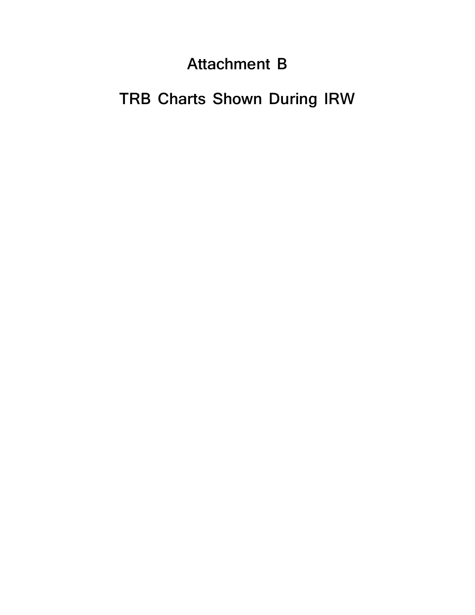# **Attachment B**

# **TRB Charts Shown During IRW**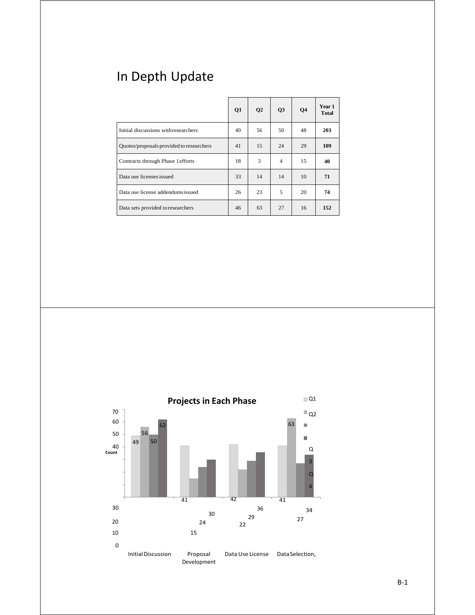# In Depth Update

|                                          | Q1 | Q <sub>2</sub> | Q3             | <b>O4</b> | Year 1<br><b>Total</b> |
|------------------------------------------|----|----------------|----------------|-----------|------------------------|
| Initial discussions with researchers     | 49 | 56             | 50             | 48        | 203                    |
| Quotes/proposals provided to researchers | 41 | 15             | 24             | 29        | 109                    |
| Contracts through Phase 1 efforts        | 18 | 3              | $\overline{4}$ | 15        | 40                     |
| Data use licenses issued                 | 33 | 14             | 14             | 10        | 71                     |
| Data use license addendumsissued         | 26 | 23             | 5              | 20        | 74                     |
| Data sets provided to researchers        | 46 | 63             | 27             | 16        | 152                    |

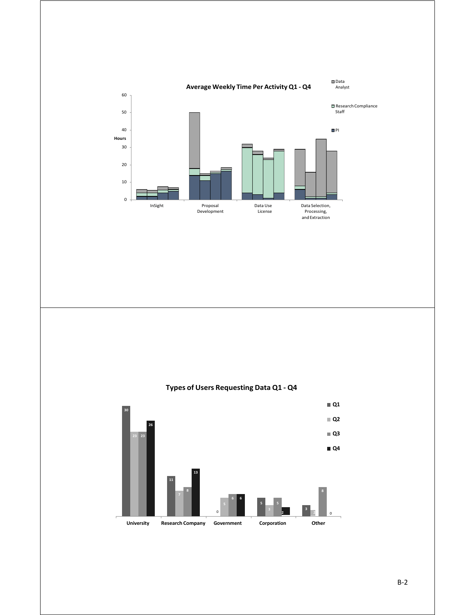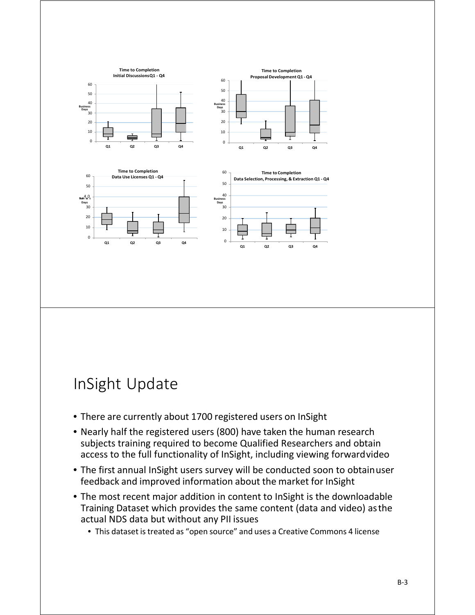

# InSight Update

- There are currently about 1700 registered users on InSight
- Nearly half the registered users (800) have taken the human research subjects training required to become Qualified Researchers and obtain access to the full functionality of InSight, including viewing forwardvideo
- The first annual InSight users survey will be conducted soon to obtainuser feedback and improved information about the market for InSight
- The most recent major addition in content to InSight is the downloadable Training Dataset which provides the same content (data and video) asthe actual NDS data but without any PII issues
	- This dataset is treated as "open source" and uses a Creative Commons 4 license